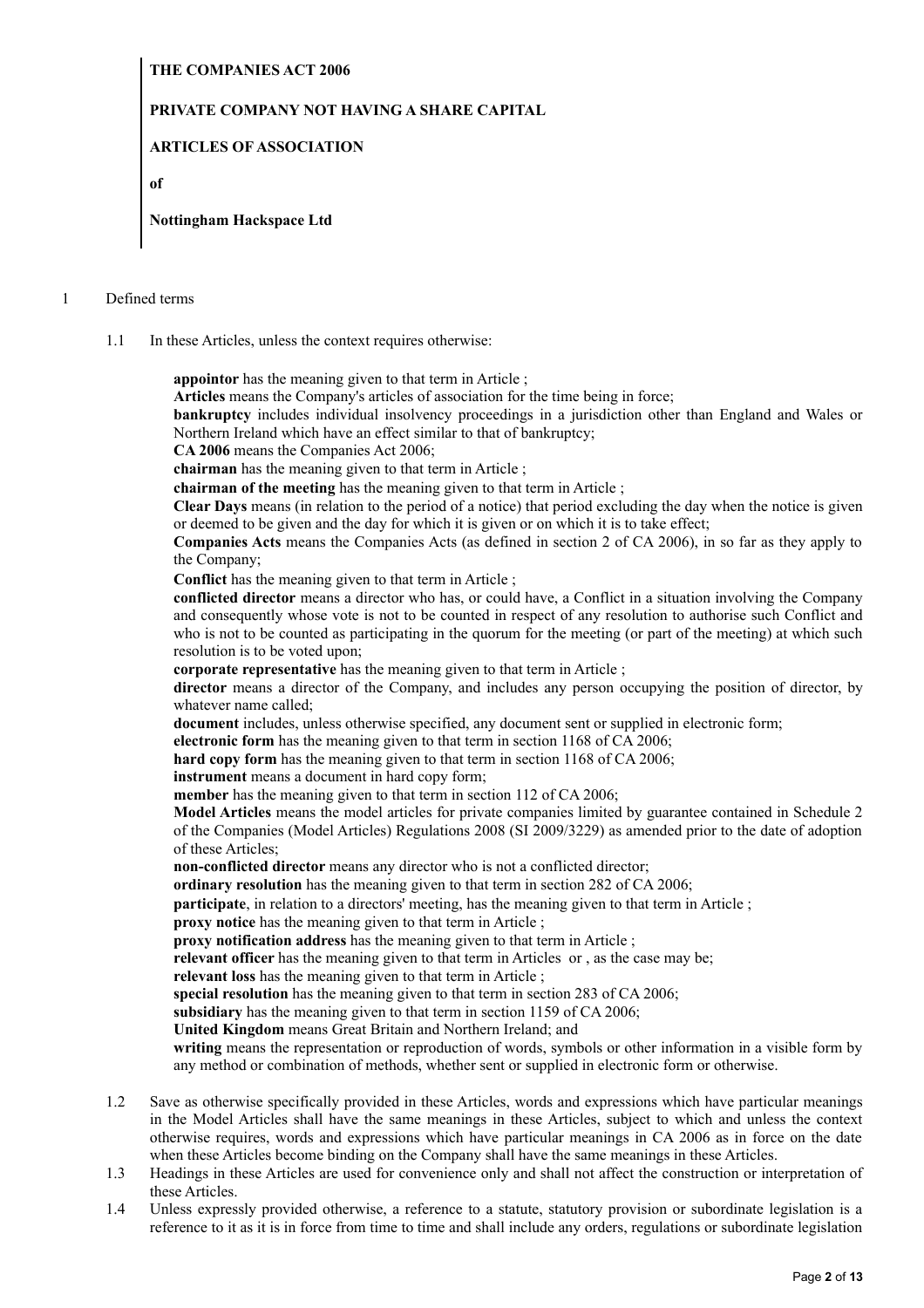## **THE COMPANIES ACT 2006**

## **PRIVATE COMPANY NOT HAVING A SHARE CAPITAL**

## **ARTICLES OF ASSOCIATION**

**of**

### **Nottingham Hackspace Ltd**

#### 1 Defined terms

1.1 In these Articles, unless the context requires otherwise:

**appointor** has the meaning given to that term in Article ;

**Articles** means the Company's articles of association for the time being in force;

**bankruptcy** includes individual insolvency proceedings in a jurisdiction other than England and Wales or Northern Ireland which have an effect similar to that of bankruptcy;

**CA 2006** means the Companies Act 2006;

**chairman** has the meaning given to that term in Article ;

**chairman of the meeting** has the meaning given to that term in Article ;

**Clear Days** means (in relation to the period of a notice) that period excluding the day when the notice is given or deemed to be given and the day for which it is given or on which it is to take effect;

**Companies Acts** means the Companies Acts (as defined in section 2 of CA 2006), in so far as they apply to the Company;

**Conflict** has the meaning given to that term in Article ;

**conflicted director** means a director who has, or could have, a Conflict in a situation involving the Company and consequently whose vote is not to be counted in respect of any resolution to authorise such Conflict and who is not to be counted as participating in the quorum for the meeting (or part of the meeting) at which such resolution is to be voted upon;

**corporate representative** has the meaning given to that term in Article;

**director** means a director of the Company, and includes any person occupying the position of director, by whatever name called;

**document** includes, unless otherwise specified, any document sent or supplied in electronic form;

**electronic form** has the meaning given to that term in section 1168 of CA 2006;

**hard copy form** has the meaning given to that term in section 1168 of CA 2006;

**instrument** means a document in hard copy form;

**member** has the meaning given to that term in section 112 of CA 2006;

**Model Articles** means the model articles for private companies limited by guarantee contained in Schedule 2 of the Companies (Model Articles) Regulations 2008 (SI 2009/3229) as amended prior to the date of adoption of these Articles;

**non-conflicted director** means any director who is not a conflicted director;

**ordinary resolution** has the meaning given to that term in section 282 of CA 2006;

**participate**, in relation to a directors' meeting, has the meaning given to that term in Article ;

**proxy notice** has the meaning given to that term in Article;

**proxy notification address** has the meaning given to that term in Article;

**relevant officer** has the meaning given to that term in Articles or , as the case may be;

**relevant loss** has the meaning given to that term in Article ;

**special resolution** has the meaning given to that term in section 283 of CA 2006;

subsidiary has the meaning given to that term in section 1159 of CA 2006;

**United Kingdom** means Great Britain and Northern Ireland; and

**writing** means the representation or reproduction of words, symbols or other information in a visible form by any method or combination of methods, whether sent or supplied in electronic form or otherwise.

- 1.2 Save as otherwise specifically provided in these Articles, words and expressions which have particular meanings in the Model Articles shall have the same meanings in these Articles, subject to which and unless the context otherwise requires, words and expressions which have particular meanings in CA 2006 as in force on the date when these Articles become binding on the Company shall have the same meanings in these Articles.
- 1.3 Headings in these Articles are used for convenience only and shall not affect the construction or interpretation of these Articles.
- 1.4 Unless expressly provided otherwise, a reference to a statute, statutory provision or subordinate legislation is a reference to it as it is in force from time to time and shall include any orders, regulations or subordinate legislation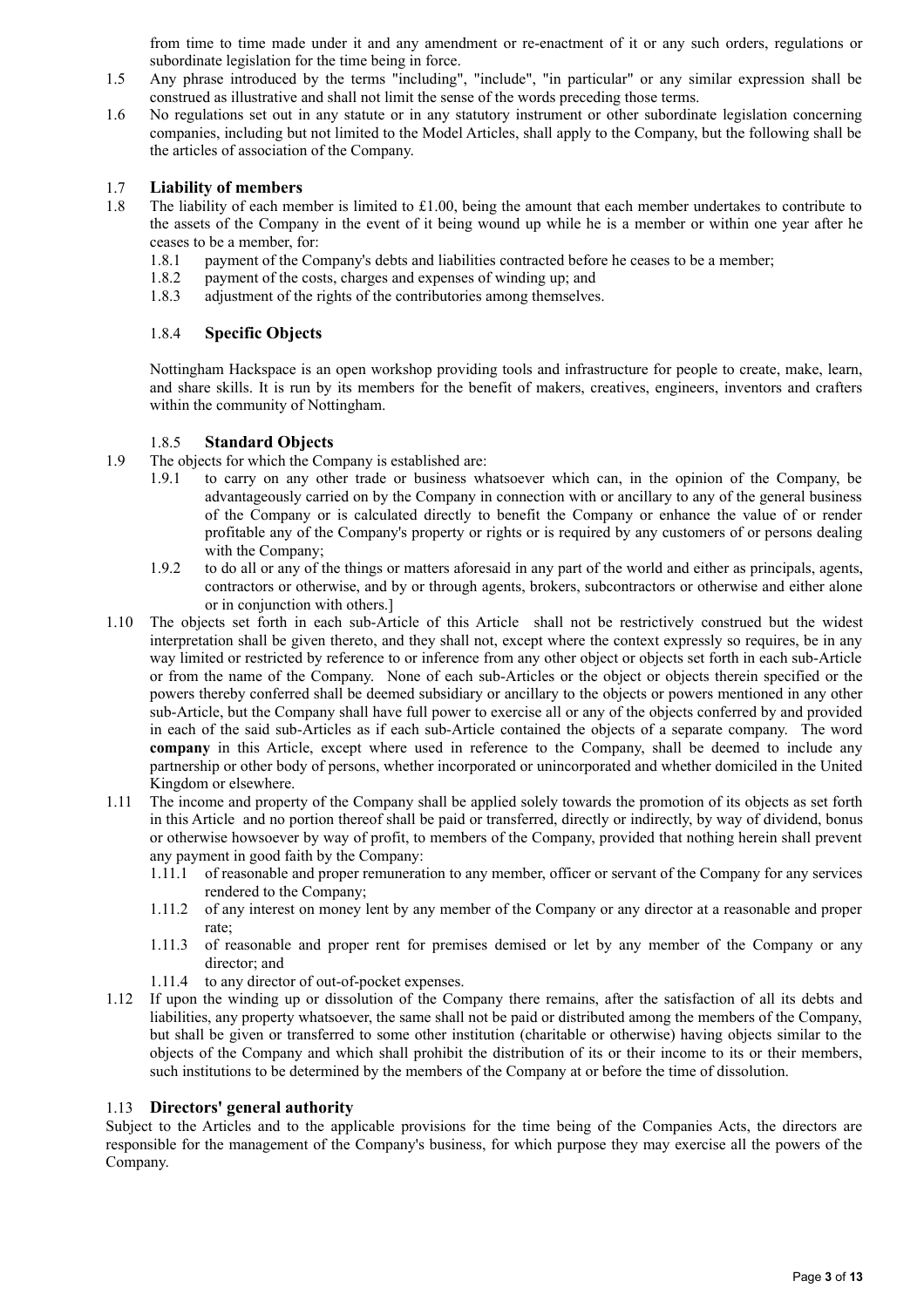from time to time made under it and any amendment or re-enactment of it or any such orders, regulations or subordinate legislation for the time being in force.

- 1.5 Any phrase introduced by the terms "including", "include", "in particular" or any similar expression shall be construed as illustrative and shall not limit the sense of the words preceding those terms.
- 1.6 No regulations set out in any statute or in any statutory instrument or other subordinate legislation concerning companies, including but not limited to the Model Articles, shall apply to the Company, but the following shall be the articles of association of the Company.

## 1.7 **Liability of members**

- 1.8 The liability of each member is limited to £1.00, being the amount that each member undertakes to contribute to the assets of the Company in the event of it being wound up while he is a member or within one year after he ceases to be a member, for:
	- 1.8.1 payment of the Company's debts and liabilities contracted before he ceases to be a member;
	- 1.8.2 payment of the costs, charges and expenses of winding up; and
	- 1.8.3 adjustment of the rights of the contributories among themselves.

### 1.8.4 **Specific Objects**

Nottingham Hackspace is an open workshop providing tools and infrastructure for people to create, make, learn, and share skills. It is run by its members for the benefit of makers, creatives, engineers, inventors and crafters within the community of Nottingham.

### 1.8.5 **Standard Objects**

- 1.9 The objects for which the Company is established are:
	- 1.9.1 to carry on any other trade or business whatsoever which can, in the opinion of the Company, be advantageously carried on by the Company in connection with or ancillary to any of the general business of the Company or is calculated directly to benefit the Company or enhance the value of or render profitable any of the Company's property or rights or is required by any customers of or persons dealing with the Company;
	- 1.9.2 to do all or any of the things or matters aforesaid in any part of the world and either as principals, agents, contractors or otherwise, and by or through agents, brokers, subcontractors or otherwise and either alone or in conjunction with others.]
- 1.10 The objects set forth in each sub-Article of this Article shall not be restrictively construed but the widest interpretation shall be given thereto, and they shall not, except where the context expressly so requires, be in any way limited or restricted by reference to or inference from any other object or objects set forth in each sub-Article or from the name of the Company. None of each sub-Articles or the object or objects therein specified or the powers thereby conferred shall be deemed subsidiary or ancillary to the objects or powers mentioned in any other sub-Article, but the Company shall have full power to exercise all or any of the objects conferred by and provided in each of the said sub-Articles as if each sub-Article contained the objects of a separate company. The word **company** in this Article, except where used in reference to the Company, shall be deemed to include any partnership or other body of persons, whether incorporated or unincorporated and whether domiciled in the United Kingdom or elsewhere.
- 1.11 The income and property of the Company shall be applied solely towards the promotion of its objects as set forth in this Article and no portion thereof shall be paid or transferred, directly or indirectly, by way of dividend, bonus or otherwise howsoever by way of profit, to members of the Company, provided that nothing herein shall prevent any payment in good faith by the Company:
	- 1.11.1 of reasonable and proper remuneration to any member, officer or servant of the Company for any services rendered to the Company;
	- 1.11.2 of any interest on money lent by any member of the Company or any director at a reasonable and proper rate;
	- 1.11.3 of reasonable and proper rent for premises demised or let by any member of the Company or any director; and
	- 1.11.4 to any director of out-of-pocket expenses.
- 1.12 If upon the winding up or dissolution of the Company there remains, after the satisfaction of all its debts and liabilities, any property whatsoever, the same shall not be paid or distributed among the members of the Company, but shall be given or transferred to some other institution (charitable or otherwise) having objects similar to the objects of the Company and which shall prohibit the distribution of its or their income to its or their members, such institutions to be determined by the members of the Company at or before the time of dissolution.

### 1.13 **Directors' general authority**

Subject to the Articles and to the applicable provisions for the time being of the Companies Acts, the directors are responsible for the management of the Company's business, for which purpose they may exercise all the powers of the Company.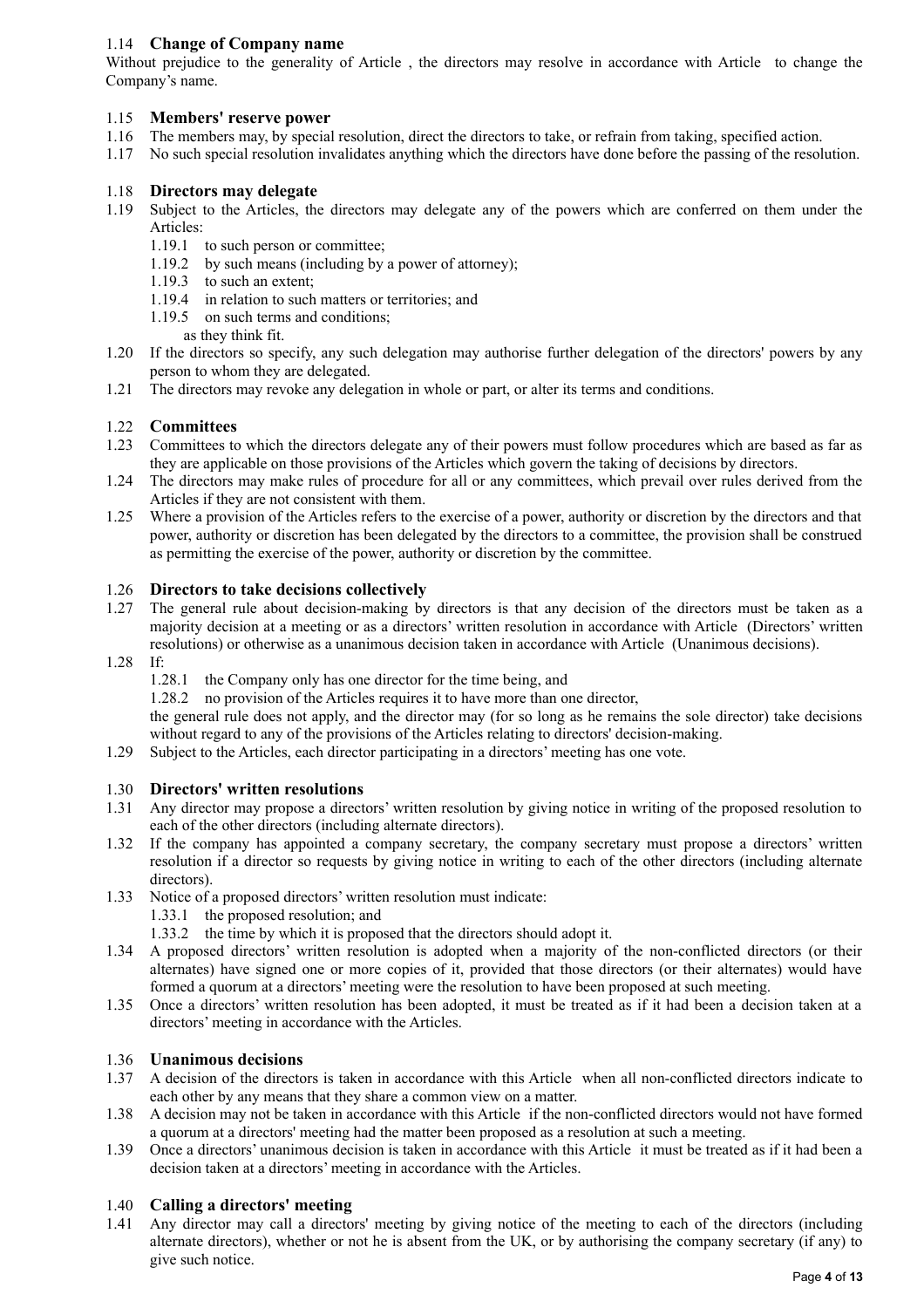## 1.14 **Change of Company name**

Without prejudice to the generality of Article , the directors may resolve in accordance with Article to change the Company's name.

## 1.15 **Members' reserve power**

- 1.16 The members may, by special resolution, direct the directors to take, or refrain from taking, specified action.
- 1.17 No such special resolution invalidates anything which the directors have done before the passing of the resolution.

### 1.18 **Directors may delegate**

- 1.19 Subject to the Articles, the directors may delegate any of the powers which are conferred on them under the Articles:
	- 1.19.1 to such person or committee;
	- 1.19.2 by such means (including by a power of attorney);
	- 1.19.3 to such an extent;
	- 1.19.4 in relation to such matters or territories; and
	- 1.19.5 on such terms and conditions;
		- as they think fit.
- 1.20 If the directors so specify, any such delegation may authorise further delegation of the directors' powers by any person to whom they are delegated.
- 1.21 The directors may revoke any delegation in whole or part, or alter its terms and conditions.

## 1.22 **Committees**

- 1.23 Committees to which the directors delegate any of their powers must follow procedures which are based as far as they are applicable on those provisions of the Articles which govern the taking of decisions by directors.
- 1.24 The directors may make rules of procedure for all or any committees, which prevail over rules derived from the Articles if they are not consistent with them.
- 1.25 Where a provision of the Articles refers to the exercise of a power, authority or discretion by the directors and that power, authority or discretion has been delegated by the directors to a committee, the provision shall be construed as permitting the exercise of the power, authority or discretion by the committee.

### 1.26 **Directors to take decisions collectively**

- 1.27 The general rule about decision-making by directors is that any decision of the directors must be taken as a majority decision at a meeting or as a directors' written resolution in accordance with Article (Directors' written resolutions) or otherwise as a unanimous decision taken in accordance with Article (Unanimous decisions).
- 1.28 If:
	- 1.28.1 the Company only has one director for the time being, and
	- 1.28.2 no provision of the Articles requires it to have more than one director,

the general rule does not apply, and the director may (for so long as he remains the sole director) take decisions without regard to any of the provisions of the Articles relating to directors' decision-making.

1.29 Subject to the Articles, each director participating in a directors' meeting has one vote.

### 1.30 **Directors' written resolutions**

- 1.31 Any director may propose a directors' written resolution by giving notice in writing of the proposed resolution to each of the other directors (including alternate directors).
- 1.32 If the company has appointed a company secretary, the company secretary must propose a directors' written resolution if a director so requests by giving notice in writing to each of the other directors (including alternate directors).
- 1.33 Notice of a proposed directors' written resolution must indicate:
	- 1.33.1 the proposed resolution; and
	- 1.33.2 the time by which it is proposed that the directors should adopt it.
- 1.34 A proposed directors' written resolution is adopted when a majority of the non-conflicted directors (or their alternates) have signed one or more copies of it, provided that those directors (or their alternates) would have formed a quorum at a directors' meeting were the resolution to have been proposed at such meeting.
- 1.35 Once a directors' written resolution has been adopted, it must be treated as if it had been a decision taken at a directors' meeting in accordance with the Articles.

### 1.36 **Unanimous decisions**

- 1.37 A decision of the directors is taken in accordance with this Article when all non-conflicted directors indicate to each other by any means that they share a common view on a matter.
- 1.38 A decision may not be taken in accordance with this Article if the non-conflicted directors would not have formed a quorum at a directors' meeting had the matter been proposed as a resolution at such a meeting.
- 1.39 Once a directors' unanimous decision is taken in accordance with this Article it must be treated as if it had been a decision taken at a directors' meeting in accordance with the Articles.

### 1.40 **Calling a directors' meeting**

1.41 Any director may call a directors' meeting by giving notice of the meeting to each of the directors (including alternate directors), whether or not he is absent from the UK, or by authorising the company secretary (if any) to give such notice.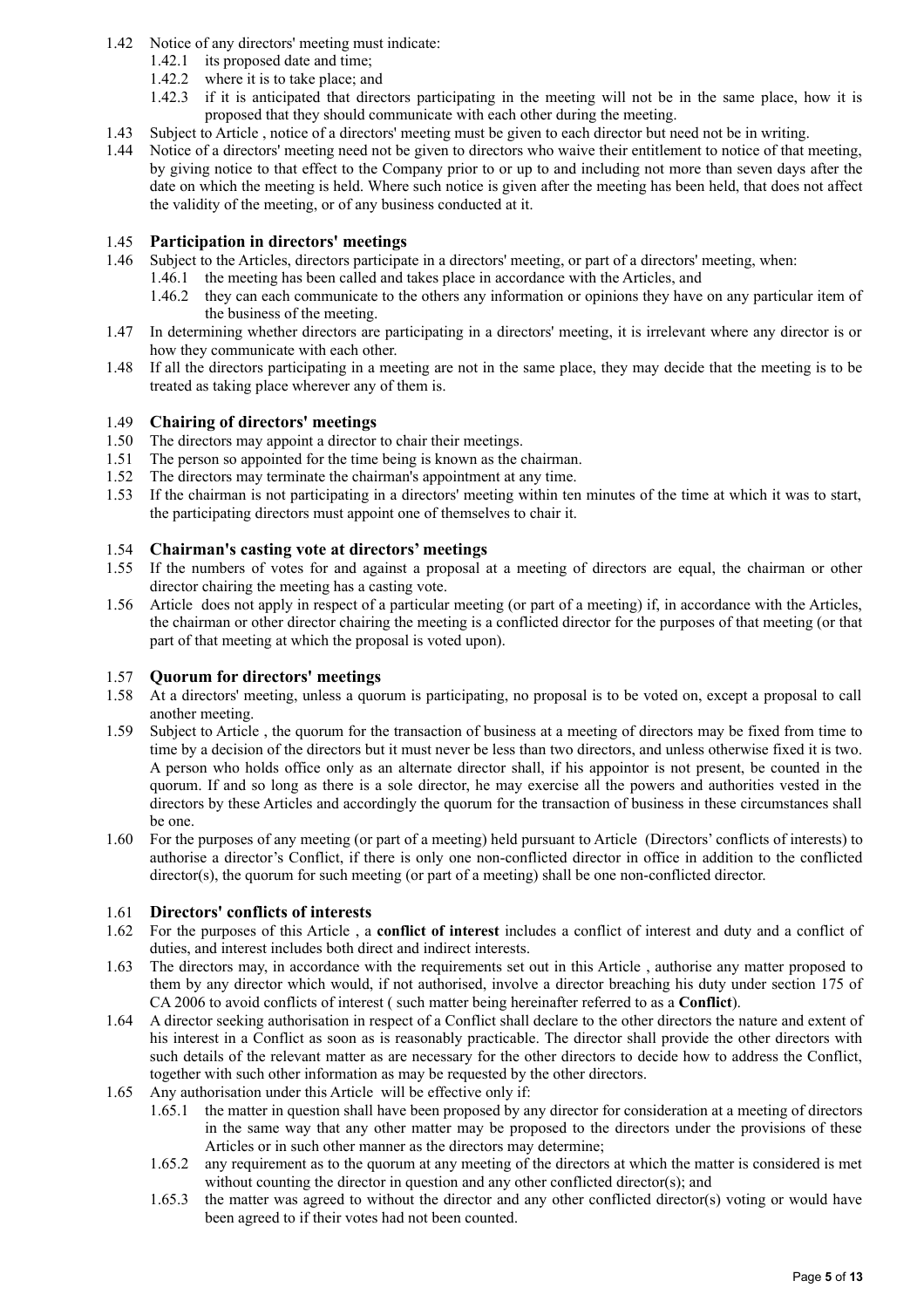- 1.42 Notice of any directors' meeting must indicate:
	- 1.42.1 its proposed date and time;
	- 1.42.2 where it is to take place; and
	- 1.42.3 if it is anticipated that directors participating in the meeting will not be in the same place, how it is proposed that they should communicate with each other during the meeting.
- 1.43 Subject to Article , notice of a directors' meeting must be given to each director but need not be in writing.
- 1.44 Notice of a directors' meeting need not be given to directors who waive their entitlement to notice of that meeting, by giving notice to that effect to the Company prior to or up to and including not more than seven days after the date on which the meeting is held. Where such notice is given after the meeting has been held, that does not affect the validity of the meeting, or of any business conducted at it.

### 1.45 **Participation in directors' meetings**

- 1.46 Subject to the Articles, directors participate in a directors' meeting, or part of a directors' meeting, when:
	- 1.46.1 the meeting has been called and takes place in accordance with the Articles, and
	- 1.46.2 they can each communicate to the others any information or opinions they have on any particular item of the business of the meeting.
- 1.47 In determining whether directors are participating in a directors' meeting, it is irrelevant where any director is or how they communicate with each other.
- 1.48 If all the directors participating in a meeting are not in the same place, they may decide that the meeting is to be treated as taking place wherever any of them is.

### 1.49 **Chairing of directors' meetings**

- 1.50 The directors may appoint a director to chair their meetings.
- 1.51 The person so appointed for the time being is known as the chairman.
- 1.52 The directors may terminate the chairman's appointment at any time.
- 1.53 If the chairman is not participating in a directors' meeting within ten minutes of the time at which it was to start, the participating directors must appoint one of themselves to chair it.

### 1.54 **Chairman's casting vote at directors' meetings**

- 1.55 If the numbers of votes for and against a proposal at a meeting of directors are equal, the chairman or other director chairing the meeting has a casting vote.
- 1.56 Article does not apply in respect of a particular meeting (or part of a meeting) if, in accordance with the Articles, the chairman or other director chairing the meeting is a conflicted director for the purposes of that meeting (or that part of that meeting at which the proposal is voted upon).

### 1.57 **Quorum for directors' meetings**

- 1.58 At a directors' meeting, unless a quorum is participating, no proposal is to be voted on, except a proposal to call another meeting.
- 1.59 Subject to Article , the quorum for the transaction of business at a meeting of directors may be fixed from time to time by a decision of the directors but it must never be less than two directors, and unless otherwise fixed it is two. A person who holds office only as an alternate director shall, if his appointor is not present, be counted in the quorum. If and so long as there is a sole director, he may exercise all the powers and authorities vested in the directors by these Articles and accordingly the quorum for the transaction of business in these circumstances shall be one.
- 1.60 For the purposes of any meeting (or part of a meeting) held pursuant to Article (Directors' conflicts of interests) to authorise a director's Conflict, if there is only one non-conflicted director in office in addition to the conflicted director(s), the quorum for such meeting (or part of a meeting) shall be one non-conflicted director.

### 1.61 **Directors' conflicts of interests**

- 1.62 For the purposes of this Article , a **conflict of interest** includes a conflict of interest and duty and a conflict of duties, and interest includes both direct and indirect interests.
- 1.63 The directors may, in accordance with the requirements set out in this Article , authorise any matter proposed to them by any director which would, if not authorised, involve a director breaching his duty under section 175 of CA 2006 to avoid conflicts of interest ( such matter being hereinafter referred to as a **Conflict**).
- 1.64 A director seeking authorisation in respect of a Conflict shall declare to the other directors the nature and extent of his interest in a Conflict as soon as is reasonably practicable. The director shall provide the other directors with such details of the relevant matter as are necessary for the other directors to decide how to address the Conflict, together with such other information as may be requested by the other directors.
- 1.65 Any authorisation under this Article will be effective only if:
	- 1.65.1 the matter in question shall have been proposed by any director for consideration at a meeting of directors in the same way that any other matter may be proposed to the directors under the provisions of these Articles or in such other manner as the directors may determine;
	- 1.65.2 any requirement as to the quorum at any meeting of the directors at which the matter is considered is met without counting the director in question and any other conflicted director(s); and
	- 1.65.3 the matter was agreed to without the director and any other conflicted director(s) voting or would have been agreed to if their votes had not been counted.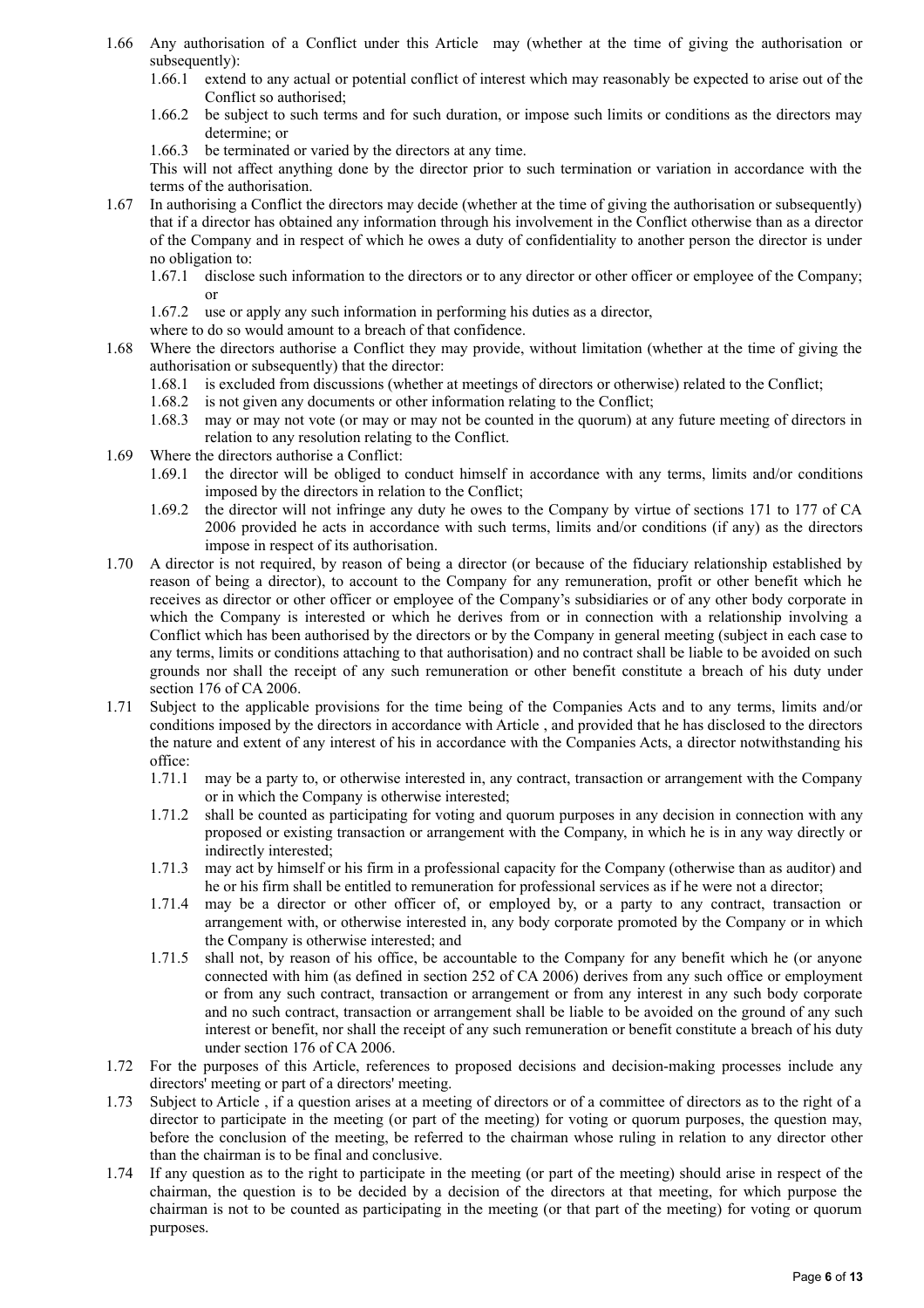- 1.66 Any authorisation of a Conflict under this Article may (whether at the time of giving the authorisation or subsequently):
	- 1.66.1 extend to any actual or potential conflict of interest which may reasonably be expected to arise out of the Conflict so authorised;
	- 1.66.2 be subject to such terms and for such duration, or impose such limits or conditions as the directors may determine; or
	- 1.66.3 be terminated or varied by the directors at any time.

This will not affect anything done by the director prior to such termination or variation in accordance with the terms of the authorisation.

- 1.67 In authorising a Conflict the directors may decide (whether at the time of giving the authorisation or subsequently) that if a director has obtained any information through his involvement in the Conflict otherwise than as a director of the Company and in respect of which he owes a duty of confidentiality to another person the director is under no obligation to:
	- 1.67.1 disclose such information to the directors or to any director or other officer or employee of the Company; or
	- 1.67.2 use or apply any such information in performing his duties as a director,
	- where to do so would amount to a breach of that confidence.
- 1.68 Where the directors authorise a Conflict they may provide, without limitation (whether at the time of giving the authorisation or subsequently) that the director:
	- 1.68.1 is excluded from discussions (whether at meetings of directors or otherwise) related to the Conflict;
	- 1.68.2 is not given any documents or other information relating to the Conflict;
	- 1.68.3 may or may not vote (or may or may not be counted in the quorum) at any future meeting of directors in relation to any resolution relating to the Conflict.
- 1.69 Where the directors authorise a Conflict:
	- 1.69.1 the director will be obliged to conduct himself in accordance with any terms, limits and/or conditions imposed by the directors in relation to the Conflict;
	- 1.69.2 the director will not infringe any duty he owes to the Company by virtue of sections 171 to 177 of CA 2006 provided he acts in accordance with such terms, limits and/or conditions (if any) as the directors impose in respect of its authorisation.
- 1.70 A director is not required, by reason of being a director (or because of the fiduciary relationship established by reason of being a director), to account to the Company for any remuneration, profit or other benefit which he receives as director or other officer or employee of the Company's subsidiaries or of any other body corporate in which the Company is interested or which he derives from or in connection with a relationship involving a Conflict which has been authorised by the directors or by the Company in general meeting (subject in each case to any terms, limits or conditions attaching to that authorisation) and no contract shall be liable to be avoided on such grounds nor shall the receipt of any such remuneration or other benefit constitute a breach of his duty under section 176 of CA 2006.
- 1.71 Subject to the applicable provisions for the time being of the Companies Acts and to any terms, limits and/or conditions imposed by the directors in accordance with Article , and provided that he has disclosed to the directors the nature and extent of any interest of his in accordance with the Companies Acts, a director notwithstanding his office:
	- 1.71.1 may be a party to, or otherwise interested in, any contract, transaction or arrangement with the Company or in which the Company is otherwise interested;
	- 1.71.2 shall be counted as participating for voting and quorum purposes in any decision in connection with any proposed or existing transaction or arrangement with the Company, in which he is in any way directly or indirectly interested;
	- 1.71.3 may act by himself or his firm in a professional capacity for the Company (otherwise than as auditor) and he or his firm shall be entitled to remuneration for professional services as if he were not a director;
	- 1.71.4 may be a director or other officer of, or employed by, or a party to any contract, transaction or arrangement with, or otherwise interested in, any body corporate promoted by the Company or in which the Company is otherwise interested; and
	- 1.71.5 shall not, by reason of his office, be accountable to the Company for any benefit which he (or anyone connected with him (as defined in section 252 of CA 2006) derives from any such office or employment or from any such contract, transaction or arrangement or from any interest in any such body corporate and no such contract, transaction or arrangement shall be liable to be avoided on the ground of any such interest or benefit, nor shall the receipt of any such remuneration or benefit constitute a breach of his duty under section 176 of CA 2006.
- 1.72 For the purposes of this Article, references to proposed decisions and decision-making processes include any directors' meeting or part of a directors' meeting.
- 1.73 Subject to Article , if a question arises at a meeting of directors or of a committee of directors as to the right of a director to participate in the meeting (or part of the meeting) for voting or quorum purposes, the question may, before the conclusion of the meeting, be referred to the chairman whose ruling in relation to any director other than the chairman is to be final and conclusive.
- 1.74 If any question as to the right to participate in the meeting (or part of the meeting) should arise in respect of the chairman, the question is to be decided by a decision of the directors at that meeting, for which purpose the chairman is not to be counted as participating in the meeting (or that part of the meeting) for voting or quorum purposes.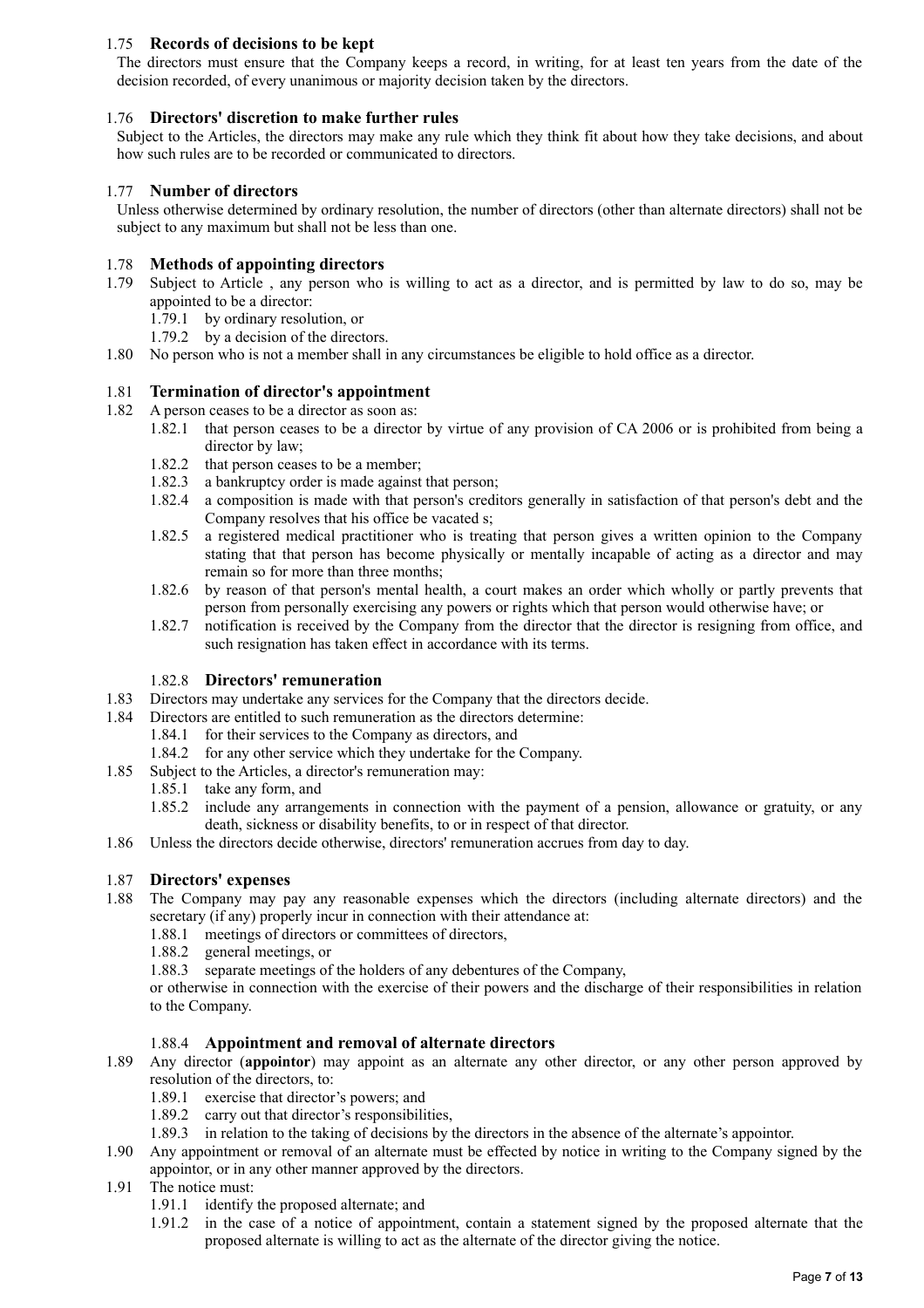## 1.75 **Records of decisions to be kept**

The directors must ensure that the Company keeps a record, in writing, for at least ten years from the date of the decision recorded, of every unanimous or majority decision taken by the directors.

### 1.76 **Directors' discretion to make further rules**

Subject to the Articles, the directors may make any rule which they think fit about how they take decisions, and about how such rules are to be recorded or communicated to directors.

### 1.77 **Number of directors**

Unless otherwise determined by ordinary resolution, the number of directors (other than alternate directors) shall not be subject to any maximum but shall not be less than one.

### 1.78 **Methods of appointing directors**

1.79 Subject to Article , any person who is willing to act as a director, and is permitted by law to do so, may be appointed to be a director:

1.79.1 by ordinary resolution, or

- 1.79.2 by a decision of the directors.
- 1.80 No person who is not a member shall in any circumstances be eligible to hold office as a director.

### 1.81 **Termination of director's appointment**

- 1.82 A person ceases to be a director as soon as:
	- 1.82.1 that person ceases to be a director by virtue of any provision of CA 2006 or is prohibited from being a director by law;
	- 1.82.2 that person ceases to be a member;
	- 1.82.3 a bankruptcy order is made against that person;
	- 1.82.4 a composition is made with that person's creditors generally in satisfaction of that person's debt and the Company resolves that his office be vacated s;
	- 1.82.5 a registered medical practitioner who is treating that person gives a written opinion to the Company stating that that person has become physically or mentally incapable of acting as a director and may remain so for more than three months;
	- 1.82.6 by reason of that person's mental health, a court makes an order which wholly or partly prevents that person from personally exercising any powers or rights which that person would otherwise have; or
	- 1.82.7 notification is received by the Company from the director that the director is resigning from office, and such resignation has taken effect in accordance with its terms.

### 1.82.8 **Directors' remuneration**

- 1.83 Directors may undertake any services for the Company that the directors decide.
- 1.84 Directors are entitled to such remuneration as the directors determine:
	- 1.84.1 for their services to the Company as directors, and
	- 1.84.2 for any other service which they undertake for the Company.
- 1.85 Subject to the Articles, a director's remuneration may:
	- 1.85.1 take any form, and
	- 1.85.2 include any arrangements in connection with the payment of a pension, allowance or gratuity, or any death, sickness or disability benefits, to or in respect of that director.
- 1.86 Unless the directors decide otherwise, directors' remuneration accrues from day to day.

### 1.87 **Directors' expenses**

- 1.88 The Company may pay any reasonable expenses which the directors (including alternate directors) and the secretary (if any) properly incur in connection with their attendance at:
	- 1.88.1 meetings of directors or committees of directors,<br>1.88.2 general meetings, or
	- general meetings, or
	- 1.88.3 separate meetings of the holders of any debentures of the Company,

or otherwise in connection with the exercise of their powers and the discharge of their responsibilities in relation to the Company.

### 1.88.4 **Appointment and removal of alternate directors**

- 1.89 Any director (**appointor**) may appoint as an alternate any other director, or any other person approved by resolution of the directors, to:
	- 1.89.1 exercise that director's powers; and
	- 1.89.2 carry out that director's responsibilities,
	- 1.89.3 in relation to the taking of decisions by the directors in the absence of the alternate's appointor.
- 1.90 Any appointment or removal of an alternate must be effected by notice in writing to the Company signed by the appointor, or in any other manner approved by the directors.
- 1.91 The notice must:
	- 1.91.1 identify the proposed alternate; and
	- 1.91.2 in the case of a notice of appointment, contain a statement signed by the proposed alternate that the proposed alternate is willing to act as the alternate of the director giving the notice.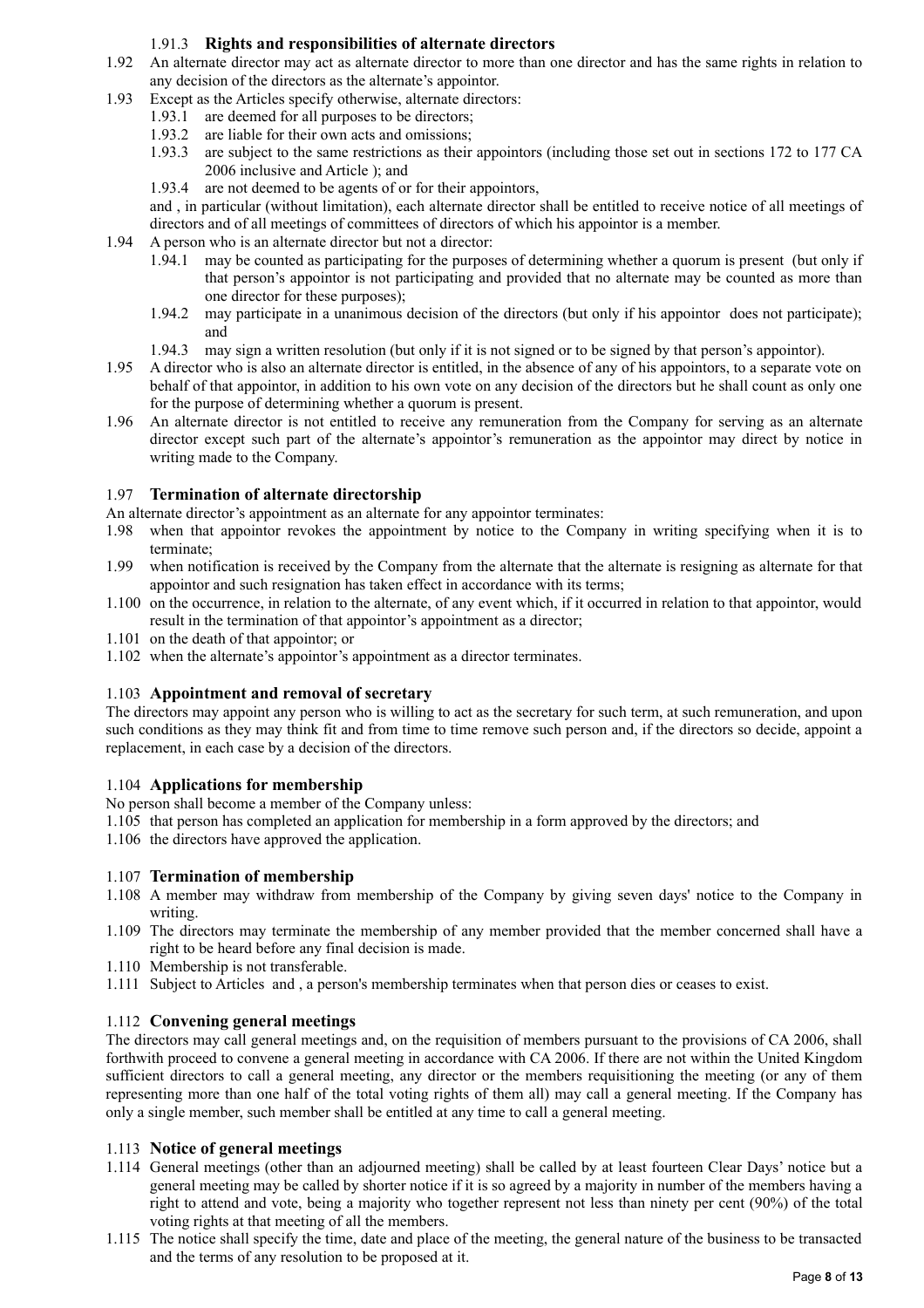## 1.91.3 **Rights and responsibilities of alternate directors**

- 1.92 An alternate director may act as alternate director to more than one director and has the same rights in relation to any decision of the directors as the alternate's appointor.
- 1.93 Except as the Articles specify otherwise, alternate directors:
	- 1.93.1 are deemed for all purposes to be directors;
		- 1.93.2 are liable for their own acts and omissions;
		- 1.93.3 are subject to the same restrictions as their appointors (including those set out in sections 172 to 177 CA 2006 inclusive and Article ); and
		- 1.93.4 are not deemed to be agents of or for their appointors,

and , in particular (without limitation), each alternate director shall be entitled to receive notice of all meetings of directors and of all meetings of committees of directors of which his appointor is a member.

- 1.94 A person who is an alternate director but not a director:
	- 1.94.1 may be counted as participating for the purposes of determining whether a quorum is present (but only if that person's appointor is not participating and provided that no alternate may be counted as more than one director for these purposes);
	- 1.94.2 may participate in a unanimous decision of the directors (but only if his appointor does not participate); and
	- 1.94.3 may sign a written resolution (but only if it is not signed or to be signed by that person's appointor).
- 1.95 A director who is also an alternate director is entitled, in the absence of any of his appointors, to a separate vote on behalf of that appointor, in addition to his own vote on any decision of the directors but he shall count as only one for the purpose of determining whether a quorum is present.
- 1.96 An alternate director is not entitled to receive any remuneration from the Company for serving as an alternate director except such part of the alternate's appointor's remuneration as the appointor may direct by notice in writing made to the Company.

### 1.97 **Termination of alternate directorship**

- An alternate director's appointment as an alternate for any appointor terminates:
- 1.98 when that appointor revokes the appointment by notice to the Company in writing specifying when it is to terminate;
- 1.99 when notification is received by the Company from the alternate that the alternate is resigning as alternate for that appointor and such resignation has taken effect in accordance with its terms;
- 1.100 on the occurrence, in relation to the alternate, of any event which, if it occurred in relation to that appointor, would result in the termination of that appointor's appointment as a director;
- 1.101 on the death of that appointor; or
- 1.102 when the alternate's appointor's appointment as a director terminates.

## 1.103 **Appointment and removal of secretary**

The directors may appoint any person who is willing to act as the secretary for such term, at such remuneration, and upon such conditions as they may think fit and from time to time remove such person and, if the directors so decide, appoint a replacement, in each case by a decision of the directors.

## 1.104 **Applications for membership**

No person shall become a member of the Company unless:

- 1.105 that person has completed an application for membership in a form approved by the directors; and
- 1.106 the directors have approved the application.

## 1.107 **Termination of membership**

- 1.108 A member may withdraw from membership of the Company by giving seven days' notice to the Company in writing.
- 1.109 The directors may terminate the membership of any member provided that the member concerned shall have a right to be heard before any final decision is made.
- 1.110 Membership is not transferable.
- 1.111 Subject to Articles and , a person's membership terminates when that person dies or ceases to exist.

## 1.112 **Convening general meetings**

The directors may call general meetings and, on the requisition of members pursuant to the provisions of CA 2006, shall forthwith proceed to convene a general meeting in accordance with CA 2006. If there are not within the United Kingdom sufficient directors to call a general meeting, any director or the members requisitioning the meeting (or any of them representing more than one half of the total voting rights of them all) may call a general meeting. If the Company has only a single member, such member shall be entitled at any time to call a general meeting.

### 1.113 **Notice of general meetings**

- 1.114 General meetings (other than an adjourned meeting) shall be called by at least fourteen Clear Days' notice but a general meeting may be called by shorter notice if it is so agreed by a majority in number of the members having a right to attend and vote, being a majority who together represent not less than ninety per cent (90%) of the total voting rights at that meeting of all the members.
- 1.115 The notice shall specify the time, date and place of the meeting, the general nature of the business to be transacted and the terms of any resolution to be proposed at it.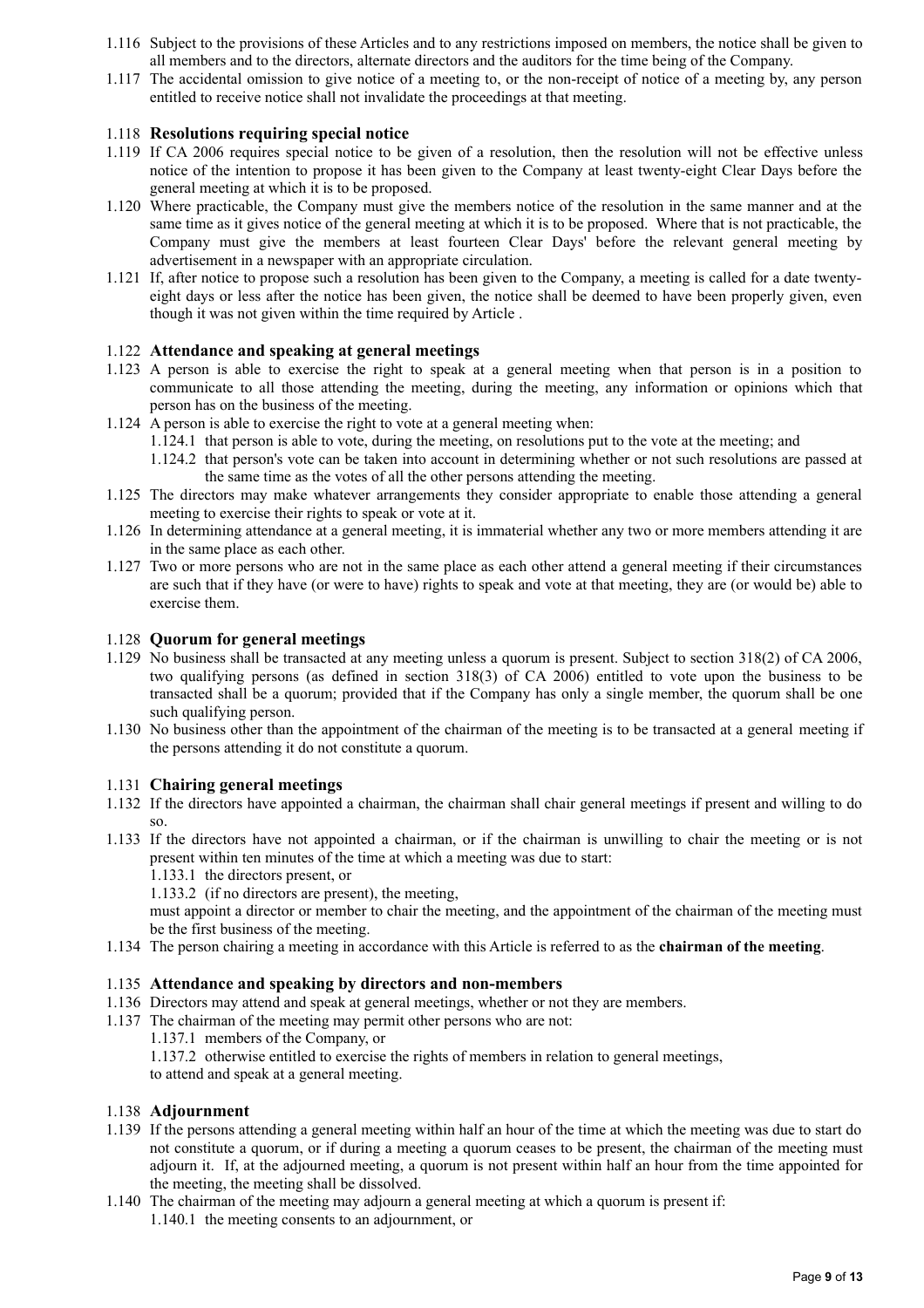- 1.116 Subject to the provisions of these Articles and to any restrictions imposed on members, the notice shall be given to all members and to the directors, alternate directors and the auditors for the time being of the Company.
- 1.117 The accidental omission to give notice of a meeting to, or the non-receipt of notice of a meeting by, any person entitled to receive notice shall not invalidate the proceedings at that meeting.

### 1.118 **Resolutions requiring special notice**

- 1.119 If CA 2006 requires special notice to be given of a resolution, then the resolution will not be effective unless notice of the intention to propose it has been given to the Company at least twenty-eight Clear Days before the general meeting at which it is to be proposed.
- 1.120 Where practicable, the Company must give the members notice of the resolution in the same manner and at the same time as it gives notice of the general meeting at which it is to be proposed. Where that is not practicable, the Company must give the members at least fourteen Clear Days' before the relevant general meeting by advertisement in a newspaper with an appropriate circulation.
- 1.121 If, after notice to propose such a resolution has been given to the Company, a meeting is called for a date twentyeight days or less after the notice has been given, the notice shall be deemed to have been properly given, even though it was not given within the time required by Article .

### 1.122 **Attendance and speaking at general meetings**

- 1.123 A person is able to exercise the right to speak at a general meeting when that person is in a position to communicate to all those attending the meeting, during the meeting, any information or opinions which that person has on the business of the meeting.
- 1.124 A person is able to exercise the right to vote at a general meeting when:
	- 1.124.1 that person is able to vote, during the meeting, on resolutions put to the vote at the meeting; and
	- 1.124.2 that person's vote can be taken into account in determining whether or not such resolutions are passed at the same time as the votes of all the other persons attending the meeting.
- 1.125 The directors may make whatever arrangements they consider appropriate to enable those attending a general meeting to exercise their rights to speak or vote at it.
- 1.126 In determining attendance at a general meeting, it is immaterial whether any two or more members attending it are in the same place as each other.
- 1.127 Two or more persons who are not in the same place as each other attend a general meeting if their circumstances are such that if they have (or were to have) rights to speak and vote at that meeting, they are (or would be) able to exercise them.

### 1.128 **Quorum for general meetings**

- 1.129 No business shall be transacted at any meeting unless a quorum is present. Subject to section 318(2) of CA 2006, two qualifying persons (as defined in section 318(3) of CA 2006) entitled to vote upon the business to be transacted shall be a quorum; provided that if the Company has only a single member, the quorum shall be one such qualifying person.
- 1.130 No business other than the appointment of the chairman of the meeting is to be transacted at a general meeting if the persons attending it do not constitute a quorum.

### 1.131 **Chairing general meetings**

- 1.132 If the directors have appointed a chairman, the chairman shall chair general meetings if present and willing to do so.
- 1.133 If the directors have not appointed a chairman, or if the chairman is unwilling to chair the meeting or is not present within ten minutes of the time at which a meeting was due to start:
	- 1.133.1 the directors present, or

1.133.2 (if no directors are present), the meeting,

must appoint a director or member to chair the meeting, and the appointment of the chairman of the meeting must be the first business of the meeting.

1.134 The person chairing a meeting in accordance with this Article is referred to as the **chairman of the meeting**.

### 1.135 **Attendance and speaking by directors and non-members**

- 1.136 Directors may attend and speak at general meetings, whether or not they are members.
- 1.137 The chairman of the meeting may permit other persons who are not:
	- 1.137.1 members of the Company, or

1.137.2 otherwise entitled to exercise the rights of members in relation to general meetings,

to attend and speak at a general meeting.

### 1.138 **Adjournment**

- 1.139 If the persons attending a general meeting within half an hour of the time at which the meeting was due to start do not constitute a quorum, or if during a meeting a quorum ceases to be present, the chairman of the meeting must adjourn it. If, at the adjourned meeting, a quorum is not present within half an hour from the time appointed for the meeting, the meeting shall be dissolved.
- 1.140 The chairman of the meeting may adjourn a general meeting at which a quorum is present if: 1.140.1 the meeting consents to an adjournment, or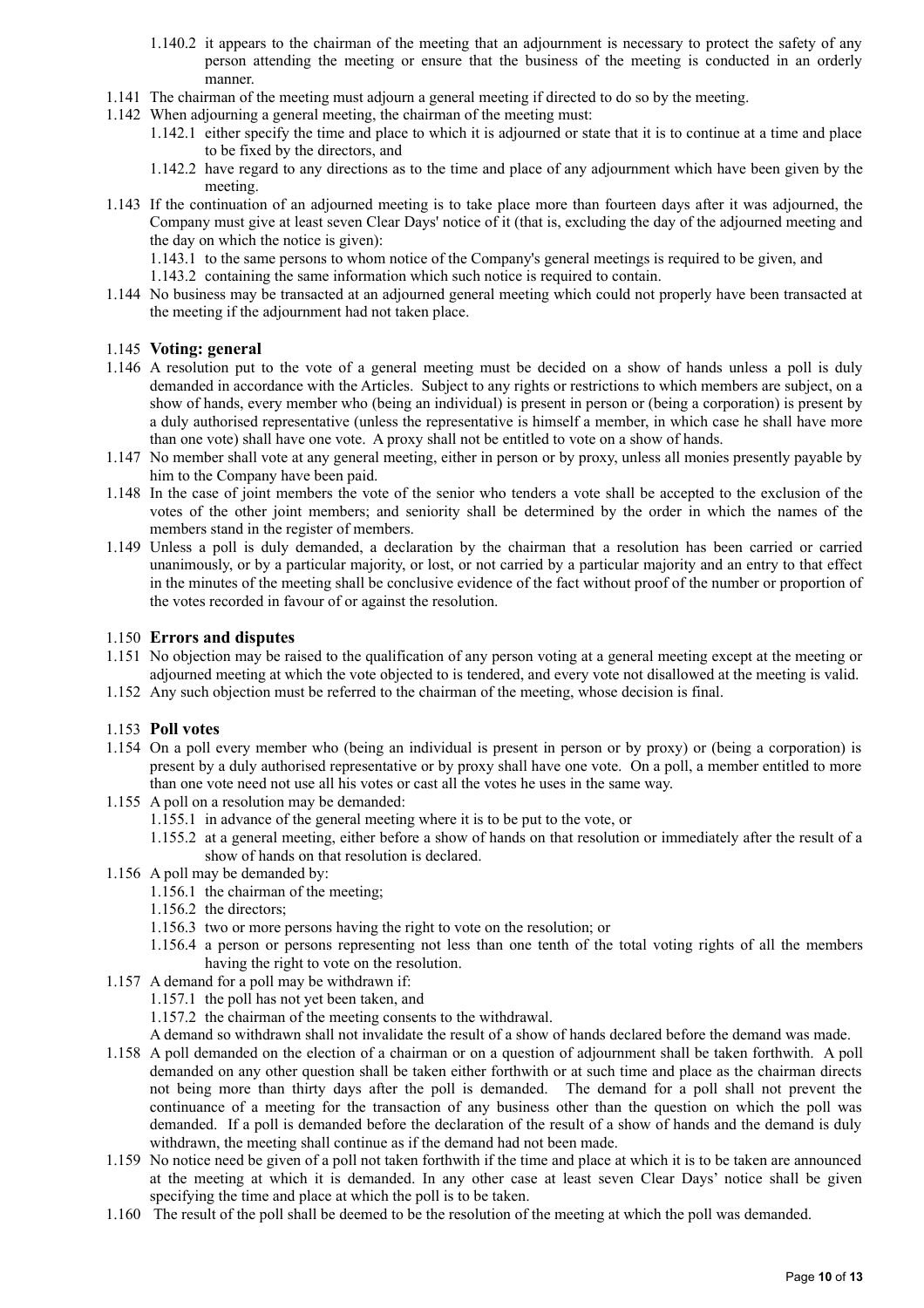- 1.140.2 it appears to the chairman of the meeting that an adjournment is necessary to protect the safety of any person attending the meeting or ensure that the business of the meeting is conducted in an orderly manner.
- 1.141 The chairman of the meeting must adjourn a general meeting if directed to do so by the meeting.
- 1.142 When adjourning a general meeting, the chairman of the meeting must:
	- 1.142.1 either specify the time and place to which it is adjourned or state that it is to continue at a time and place to be fixed by the directors, and
	- 1.142.2 have regard to any directions as to the time and place of any adjournment which have been given by the meeting.
- 1.143 If the continuation of an adjourned meeting is to take place more than fourteen days after it was adjourned, the Company must give at least seven Clear Days' notice of it (that is, excluding the day of the adjourned meeting and the day on which the notice is given):
	- 1.143.1 to the same persons to whom notice of the Company's general meetings is required to be given, and
	- 1.143.2 containing the same information which such notice is required to contain.
- 1.144 No business may be transacted at an adjourned general meeting which could not properly have been transacted at the meeting if the adjournment had not taken place.

### 1.145 **Voting: general**

- 1.146 A resolution put to the vote of a general meeting must be decided on a show of hands unless a poll is duly demanded in accordance with the Articles. Subject to any rights or restrictions to which members are subject, on a show of hands, every member who (being an individual) is present in person or (being a corporation) is present by a duly authorised representative (unless the representative is himself a member, in which case he shall have more than one vote) shall have one vote. A proxy shall not be entitled to vote on a show of hands.
- 1.147 No member shall vote at any general meeting, either in person or by proxy, unless all monies presently payable by him to the Company have been paid.
- 1.148 In the case of joint members the vote of the senior who tenders a vote shall be accepted to the exclusion of the votes of the other joint members; and seniority shall be determined by the order in which the names of the members stand in the register of members.
- 1.149 Unless a poll is duly demanded, a declaration by the chairman that a resolution has been carried or carried unanimously, or by a particular majority, or lost, or not carried by a particular majority and an entry to that effect in the minutes of the meeting shall be conclusive evidence of the fact without proof of the number or proportion of the votes recorded in favour of or against the resolution.

### 1.150 **Errors and disputes**

- 1.151 No objection may be raised to the qualification of any person voting at a general meeting except at the meeting or adjourned meeting at which the vote objected to is tendered, and every vote not disallowed at the meeting is valid.
- 1.152 Any such objection must be referred to the chairman of the meeting, whose decision is final.

### 1.153 **Poll votes**

- 1.154 On a poll every member who (being an individual is present in person or by proxy) or (being a corporation) is present by a duly authorised representative or by proxy shall have one vote. On a poll, a member entitled to more than one vote need not use all his votes or cast all the votes he uses in the same way.
- 1.155 A poll on a resolution may be demanded:
	- 1.155.1 in advance of the general meeting where it is to be put to the vote, or
	- 1.155.2 at a general meeting, either before a show of hands on that resolution or immediately after the result of a show of hands on that resolution is declared.
- 1.156 A poll may be demanded by:
	- 1.156.1 the chairman of the meeting;
	- 1.156.2 the directors;
	- 1.156.3 two or more persons having the right to vote on the resolution; or
	- 1.156.4 a person or persons representing not less than one tenth of the total voting rights of all the members having the right to vote on the resolution.
- 1.157 A demand for a poll may be withdrawn if:
	- 1.157.1 the poll has not yet been taken, and
	- 1.157.2 the chairman of the meeting consents to the withdrawal.
	- A demand so withdrawn shall not invalidate the result of a show of hands declared before the demand was made.
- 1.158 A poll demanded on the election of a chairman or on a question of adjournment shall be taken forthwith. A poll demanded on any other question shall be taken either forthwith or at such time and place as the chairman directs not being more than thirty days after the poll is demanded. The demand for a poll shall not prevent the continuance of a meeting for the transaction of any business other than the question on which the poll was demanded. If a poll is demanded before the declaration of the result of a show of hands and the demand is duly withdrawn, the meeting shall continue as if the demand had not been made.
- 1.159 No notice need be given of a poll not taken forthwith if the time and place at which it is to be taken are announced at the meeting at which it is demanded. In any other case at least seven Clear Days' notice shall be given specifying the time and place at which the poll is to be taken.
- 1.160 The result of the poll shall be deemed to be the resolution of the meeting at which the poll was demanded.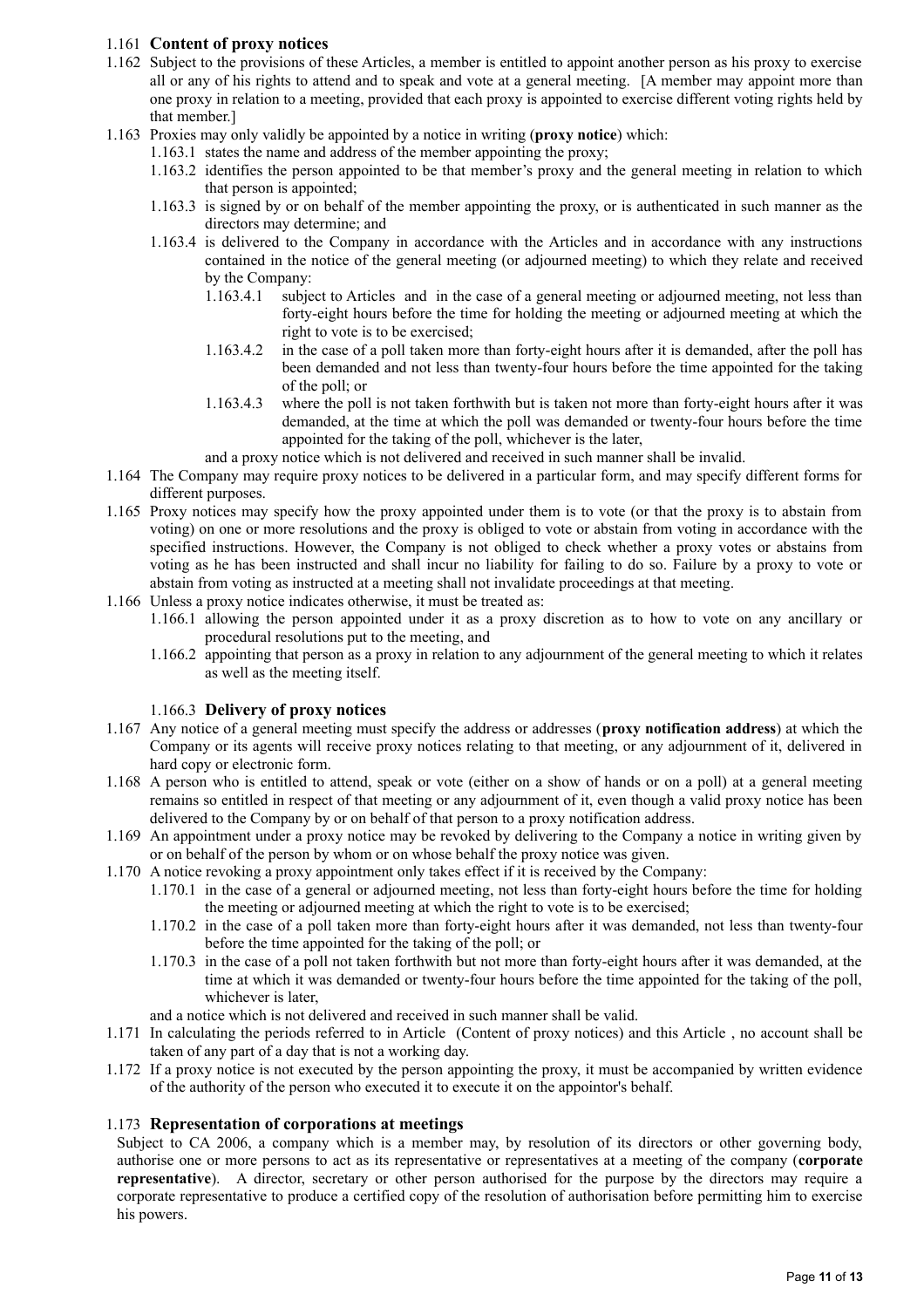## 1.161 **Content of proxy notices**

- 1.162 Subject to the provisions of these Articles, a member is entitled to appoint another person as his proxy to exercise all or any of his rights to attend and to speak and vote at a general meeting. [A member may appoint more than one proxy in relation to a meeting, provided that each proxy is appointed to exercise different voting rights held by that member.]
- 1.163 Proxies may only validly be appointed by a notice in writing (**proxy notice**) which:
	- 1.163.1 states the name and address of the member appointing the proxy;
		- 1.163.2 identifies the person appointed to be that member's proxy and the general meeting in relation to which that person is appointed;
		- 1.163.3 is signed by or on behalf of the member appointing the proxy, or is authenticated in such manner as the directors may determine; and
		- 1.163.4 is delivered to the Company in accordance with the Articles and in accordance with any instructions contained in the notice of the general meeting (or adjourned meeting) to which they relate and received by the Company:
			- 1.163.4.1 subject to Articles and in the case of a general meeting or adjourned meeting, not less than forty-eight hours before the time for holding the meeting or adjourned meeting at which the right to vote is to be exercised;
			- 1.163.4.2 in the case of a poll taken more than forty-eight hours after it is demanded, after the poll has been demanded and not less than twenty-four hours before the time appointed for the taking of the poll; or
			- 1.163.4.3 where the poll is not taken forthwith but is taken not more than forty-eight hours after it was demanded, at the time at which the poll was demanded or twenty-four hours before the time appointed for the taking of the poll, whichever is the later,
			- and a proxy notice which is not delivered and received in such manner shall be invalid.
- 1.164 The Company may require proxy notices to be delivered in a particular form, and may specify different forms for different purposes.
- 1.165 Proxy notices may specify how the proxy appointed under them is to vote (or that the proxy is to abstain from voting) on one or more resolutions and the proxy is obliged to vote or abstain from voting in accordance with the specified instructions. However, the Company is not obliged to check whether a proxy votes or abstains from voting as he has been instructed and shall incur no liability for failing to do so. Failure by a proxy to vote or abstain from voting as instructed at a meeting shall not invalidate proceedings at that meeting.
- 1.166 Unless a proxy notice indicates otherwise, it must be treated as:
	- 1.166.1 allowing the person appointed under it as a proxy discretion as to how to vote on any ancillary or procedural resolutions put to the meeting, and
	- 1.166.2 appointing that person as a proxy in relation to any adjournment of the general meeting to which it relates as well as the meeting itself.

### 1.166.3 **Delivery of proxy notices**

- 1.167 Any notice of a general meeting must specify the address or addresses (**proxy notification address**) at which the Company or its agents will receive proxy notices relating to that meeting, or any adjournment of it, delivered in hard copy or electronic form.
- 1.168 A person who is entitled to attend, speak or vote (either on a show of hands or on a poll) at a general meeting remains so entitled in respect of that meeting or any adjournment of it, even though a valid proxy notice has been delivered to the Company by or on behalf of that person to a proxy notification address.
- 1.169 An appointment under a proxy notice may be revoked by delivering to the Company a notice in writing given by or on behalf of the person by whom or on whose behalf the proxy notice was given.
- 1.170 A notice revoking a proxy appointment only takes effect if it is received by the Company:
	- 1.170.1 in the case of a general or adjourned meeting, not less than forty-eight hours before the time for holding the meeting or adjourned meeting at which the right to vote is to be exercised;
		- 1.170.2 in the case of a poll taken more than forty-eight hours after it was demanded, not less than twenty-four before the time appointed for the taking of the poll; or
		- 1.170.3 in the case of a poll not taken forthwith but not more than forty-eight hours after it was demanded, at the time at which it was demanded or twenty-four hours before the time appointed for the taking of the poll, whichever is later,
	- and a notice which is not delivered and received in such manner shall be valid.
- 1.171 In calculating the periods referred to in Article (Content of proxy notices) and this Article , no account shall be taken of any part of a day that is not a working day.
- 1.172 If a proxy notice is not executed by the person appointing the proxy, it must be accompanied by written evidence of the authority of the person who executed it to execute it on the appointor's behalf.

### 1.173 **Representation of corporations at meetings**

Subject to CA 2006, a company which is a member may, by resolution of its directors or other governing body, authorise one or more persons to act as its representative or representatives at a meeting of the company (**corporate representative**). A director, secretary or other person authorised for the purpose by the directors may require a corporate representative to produce a certified copy of the resolution of authorisation before permitting him to exercise his powers.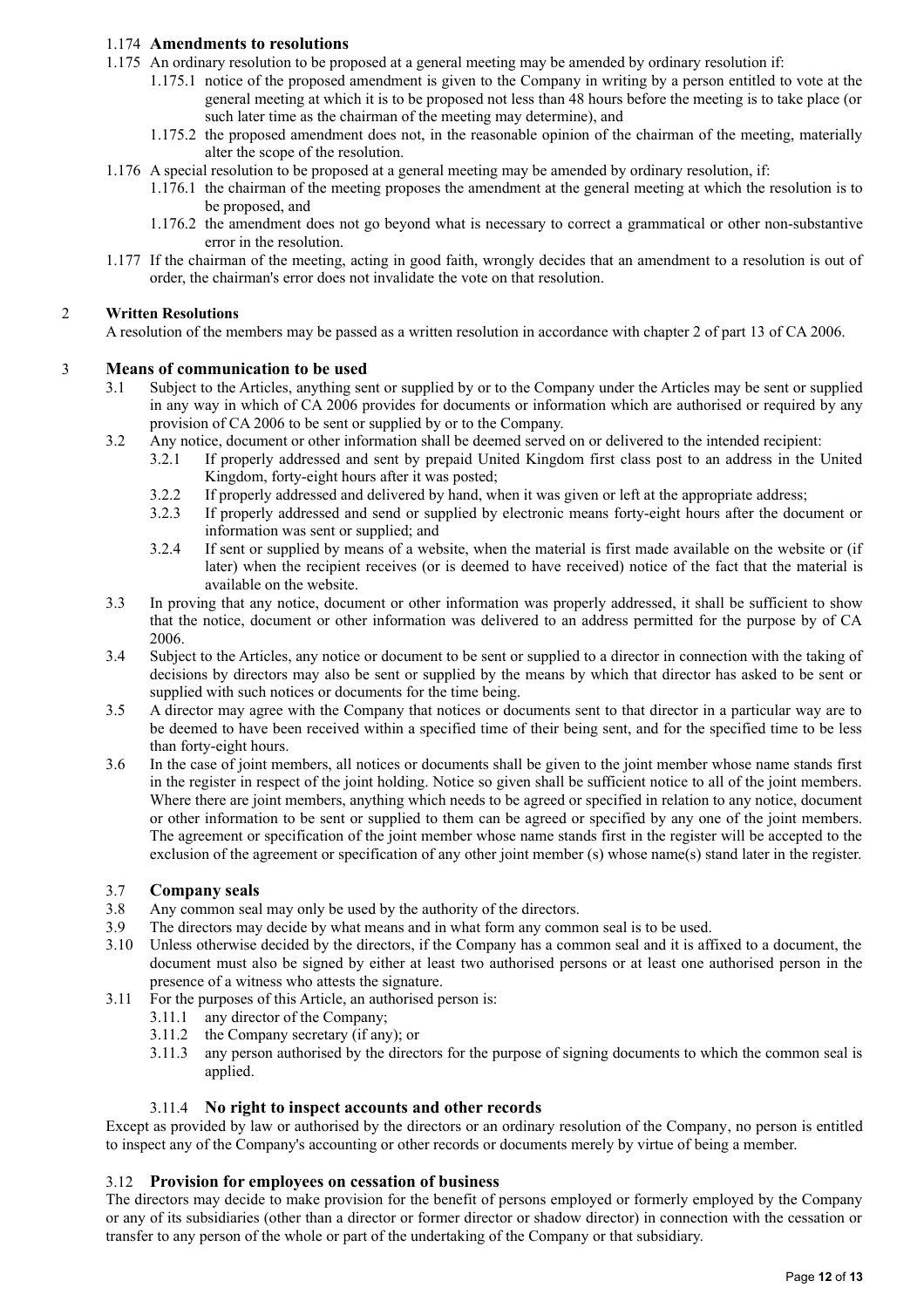## 1.174 **Amendments to resolutions**

- 1.175 An ordinary resolution to be proposed at a general meeting may be amended by ordinary resolution if:
	- 1.175.1 notice of the proposed amendment is given to the Company in writing by a person entitled to vote at the general meeting at which it is to be proposed not less than 48 hours before the meeting is to take place (or such later time as the chairman of the meeting may determine), and
	- 1.175.2 the proposed amendment does not, in the reasonable opinion of the chairman of the meeting, materially alter the scope of the resolution.
- 1.176 A special resolution to be proposed at a general meeting may be amended by ordinary resolution, if:
	- 1.176.1 the chairman of the meeting proposes the amendment at the general meeting at which the resolution is to be proposed, and
	- 1.176.2 the amendment does not go beyond what is necessary to correct a grammatical or other non-substantive error in the resolution.
- 1.177 If the chairman of the meeting, acting in good faith, wrongly decides that an amendment to a resolution is out of order, the chairman's error does not invalidate the vote on that resolution.

### 2 **Written Resolutions**

A resolution of the members may be passed as a written resolution in accordance with chapter 2 of part 13 of CA 2006.

### 3 **Means of communication to be used**

- 3.1 Subject to the Articles, anything sent or supplied by or to the Company under the Articles may be sent or supplied in any way in which of CA 2006 provides for documents or information which are authorised or required by any provision of CA 2006 to be sent or supplied by or to the Company.
- 3.2 Any notice, document or other information shall be deemed served on or delivered to the intended recipient:
	- 3.2.1 If properly addressed and sent by prepaid United Kingdom first class post to an address in the United Kingdom, forty-eight hours after it was posted;
	- 3.2.2 If properly addressed and delivered by hand, when it was given or left at the appropriate address;
	- 3.2.3 If properly addressed and send or supplied by electronic means forty-eight hours after the document or information was sent or supplied; and
	- 3.2.4 If sent or supplied by means of a website, when the material is first made available on the website or (if later) when the recipient receives (or is deemed to have received) notice of the fact that the material is available on the website.
- 3.3 In proving that any notice, document or other information was properly addressed, it shall be sufficient to show that the notice, document or other information was delivered to an address permitted for the purpose by of CA 2006.
- 3.4 Subject to the Articles, any notice or document to be sent or supplied to a director in connection with the taking of decisions by directors may also be sent or supplied by the means by which that director has asked to be sent or supplied with such notices or documents for the time being.
- 3.5 A director may agree with the Company that notices or documents sent to that director in a particular way are to be deemed to have been received within a specified time of their being sent, and for the specified time to be less than forty-eight hours.
- 3.6 In the case of joint members, all notices or documents shall be given to the joint member whose name stands first in the register in respect of the joint holding. Notice so given shall be sufficient notice to all of the joint members. Where there are joint members, anything which needs to be agreed or specified in relation to any notice, document or other information to be sent or supplied to them can be agreed or specified by any one of the joint members. The agreement or specification of the joint member whose name stands first in the register will be accepted to the exclusion of the agreement or specification of any other joint member (s) whose name(s) stand later in the register.

### 3.7 **Company seals**

- 3.8 Any common seal may only be used by the authority of the directors.
- 3.9 The directors may decide by what means and in what form any common seal is to be used.
- 3.10 Unless otherwise decided by the directors, if the Company has a common seal and it is affixed to a document, the document must also be signed by either at least two authorised persons or at least one authorised person in the presence of a witness who attests the signature.
- 3.11 For the purposes of this Article, an authorised person is:
	- 3.11.1 any director of the Company;<br>3.11.2 the Company secretary (if any
	- the Company secretary (if any); or
	- 3.11.3 any person authorised by the directors for the purpose of signing documents to which the common seal is applied.

### 3.11.4 **No right to inspect accounts and other records**

Except as provided by law or authorised by the directors or an ordinary resolution of the Company, no person is entitled to inspect any of the Company's accounting or other records or documents merely by virtue of being a member.

## 3.12 **Provision for employees on cessation of business**

The directors may decide to make provision for the benefit of persons employed or formerly employed by the Company or any of its subsidiaries (other than a director or former director or shadow director) in connection with the cessation or transfer to any person of the whole or part of the undertaking of the Company or that subsidiary.